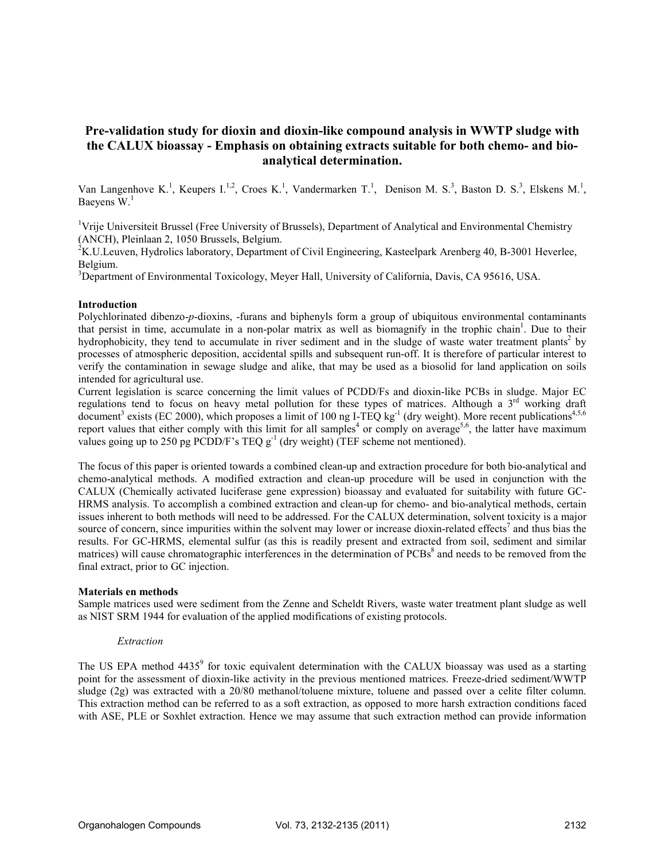# Pre-validation study for dioxin and dioxin-like compound analysis in WWTP sludge with the CALUX bioassay - Emphasis on obtaining extracts suitable for both chemo- and bioanalytical determination.

Van Langenhove K.<sup>1</sup>, Keupers I.<sup>1,2</sup>, Croes K.<sup>1</sup>, Vandermarken T.<sup>1</sup>, Denison M. S.<sup>3</sup>, Baston D. S.<sup>3</sup>, Elskens M.<sup>1</sup>, Baevens  $W<sup>1</sup>$ 

<sup>1</sup>Vrije Universiteit Brussel (Free University of Brussels), Department of Analytical and Environmental Chemistry (ANCH), Pleinlaan 2, 1050 Brussels, Belgium.

 $2K$ .U.Leuven, Hydrolics laboratory, Department of Civil Engineering, Kasteelpark Arenberg 40, B-3001 Heverlee, Belgium.

<sup>3</sup>Department of Environmental Toxicology, Meyer Hall, University of California, Davis, CA 95616, USA.

### Introduction

Polychlorinated dibenzo-p-dioxins, -furans and biphenyls form a group of ubiquitous environmental contaminants that persist in time, accumulate in a non-polar matrix as well as biomagnify in the trophic chain<sup>1</sup>. Due to their hydrophobicity, they tend to accumulate in river sediment and in the sludge of waste water treatment plants<sup>2</sup> by processes of atmospheric deposition, accidental spills and subsequent run-off. It is therefore of particular interest to verify the contamination in sewage sludge and alike, that may be used as a biosolid for land application on soils intended for agricultural use.

Current legislation is scarce concerning the limit values of PCDD/Fs and dioxin-like PCBs in sludge. Major EC regulations tend to focus on heavy metal pollution for these types of matrices. Although a 3<sup>rd</sup> working draft document<sup>3</sup> exists (EC 2000), which proposes a limit of 100 ng I-TEQ kg<sup>-1</sup> (dry weight). More recent publications<sup>4,5,6</sup> report values that either comply with this limit for all samples<sup>4</sup> or comply on average<sup>5,6</sup>, the latter have maximum values going up to 250 pg PCDD/F's TEQ  $g^{-1}$  (dry weight) (TEF scheme not mentioned).

The focus of this paper is oriented towards a combined clean-up and extraction procedure for both bio-analytical and chemo-analytical methods. A modified extraction and clean-up procedure will be used in conjunction with the CALUX (Chemically activated luciferase gene expression) bioassay and evaluated for suitability with future GC-HRMS analysis. To accomplish a combined extraction and clean-up for chemo- and bio-analytical methods, certain issues inherent to both methods will need to be addressed. For the CALUX determination, solvent toxicity is a major source of concern, since impurities within the solvent may lower or increase dioxin-related effects<sup>7</sup> and thus bias the results. For GC-HRMS, elemental sulfur (as this is readily present and extracted from soil, sediment and similar matrices) will cause chromatographic interferences in the determination of PCBs<sup>8</sup> and needs to be removed from the final extract, prior to GC injection.

#### Materials en methods

Sample matrices used were sediment from the Zenne and Scheldt Rivers, waste water treatment plant sludge as well as NIST SRM 1944 for evaluation of the applied modifications of existing protocols.

#### Extraction

The US EPA method 4435<sup>9</sup> for toxic equivalent determination with the CALUX bioassay was used as a starting point for the assessment of dioxin-like activity in the previous mentioned matrices. Freeze-dried sediment/WWTP sludge (2g) was extracted with a 20/80 methanol/toluene mixture, toluene and passed over a celite filter column. This extraction method can be referred to as a soft extraction, as opposed to more harsh extraction conditions faced with ASE, PLE or Soxhlet extraction. Hence we may assume that such extraction method can provide information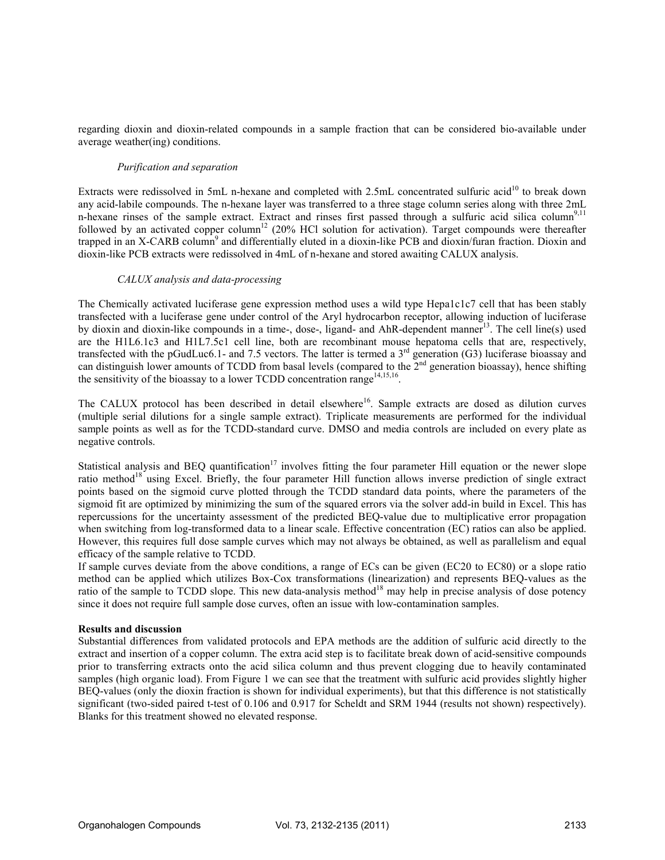regarding dioxin and dioxin-related compounds in a sample fraction that can be considered bio-available under average weather(ing) conditions.

## Purification and separation

Extracts were redissolved in 5mL n-hexane and completed with 2.5mL concentrated sulfuric acid<sup>10</sup> to break down any acid-labile compounds. The n-hexane layer was transferred to a three stage column series along with three 2mL n-hexane rinses of the sample extract. Extract and rinses first passed through a sulfuric acid silica column<sup>9,11</sup> followed by an activated copper column<sup>12</sup> (20% HCl solution for activation). Target compounds were thereafter trapped in an X-CARB column<sup>9</sup> and differentially eluted in a dioxin-like PCB and dioxin/furan fraction. Dioxin and dioxin-like PCB extracts were redissolved in 4mL of n-hexane and stored awaiting CALUX analysis.

#### CALUX analysis and data-processing

The Chemically activated luciferase gene expression method uses a wild type Hepa1c1c7 cell that has been stably transfected with a luciferase gene under control of the Aryl hydrocarbon receptor, allowing induction of luciferase by dioxin and dioxin-like compounds in a time-, dose-, ligand- and AhR-dependent manner<sup>13</sup>. The cell line(s) used are the H1L6.1c3 and H1L7.5c1 cell line, both are recombinant mouse hepatoma cells that are, respectively, transfected with the pGudLuc6.1- and 7.5 vectors. The latter is termed a  $3<sup>rd</sup>$  generation (G3) luciferase bioassay and can distinguish lower amounts of TCDD from basal levels (compared to the  $2<sup>nd</sup>$  generation bioassay), hence shifting the sensitivity of the bioassay to a lower TCDD concentration range<sup>14,15,16</sup>.

The CALUX protocol has been described in detail elsewhere<sup>16</sup>. Sample extracts are dosed as dilution curves (multiple serial dilutions for a single sample extract). Triplicate measurements are performed for the individual sample points as well as for the TCDD-standard curve. DMSO and media controls are included on every plate as negative controls.

Statistical analysis and BEQ quantification<sup>17</sup> involves fitting the four parameter Hill equation or the newer slope ratio method<sup>18</sup> using Excel. Briefly, the four parameter Hill function allows inverse prediction of single extract points based on the sigmoid curve plotted through the TCDD standard data points, where the parameters of the sigmoid fit are optimized by minimizing the sum of the squared errors via the solver add-in build in Excel. This has repercussions for the uncertainty assessment of the predicted BEQ-value due to multiplicative error propagation when switching from log-transformed data to a linear scale. Effective concentration (EC) ratios can also be applied. However, this requires full dose sample curves which may not always be obtained, as well as parallelism and equal efficacy of the sample relative to TCDD.

If sample curves deviate from the above conditions, a range of ECs can be given (EC20 to EC80) or a slope ratio method can be applied which utilizes Box-Cox transformations (linearization) and represents BEQ-values as the ratio of the sample to TCDD slope. This new data-analysis method<sup>18</sup> may help in precise analysis of dose potency since it does not require full sample dose curves, often an issue with low-contamination samples.

#### Results and discussion

Substantial differences from validated protocols and EPA methods are the addition of sulfuric acid directly to the extract and insertion of a copper column. The extra acid step is to facilitate break down of acid-sensitive compounds prior to transferring extracts onto the acid silica column and thus prevent clogging due to heavily contaminated samples (high organic load). From Figure 1 we can see that the treatment with sulfuric acid provides slightly higher BEQ-values (only the dioxin fraction is shown for individual experiments), but that this difference is not statistically significant (two-sided paired t-test of 0.106 and 0.917 for Scheldt and SRM 1944 (results not shown) respectively). Blanks for this treatment showed no elevated response.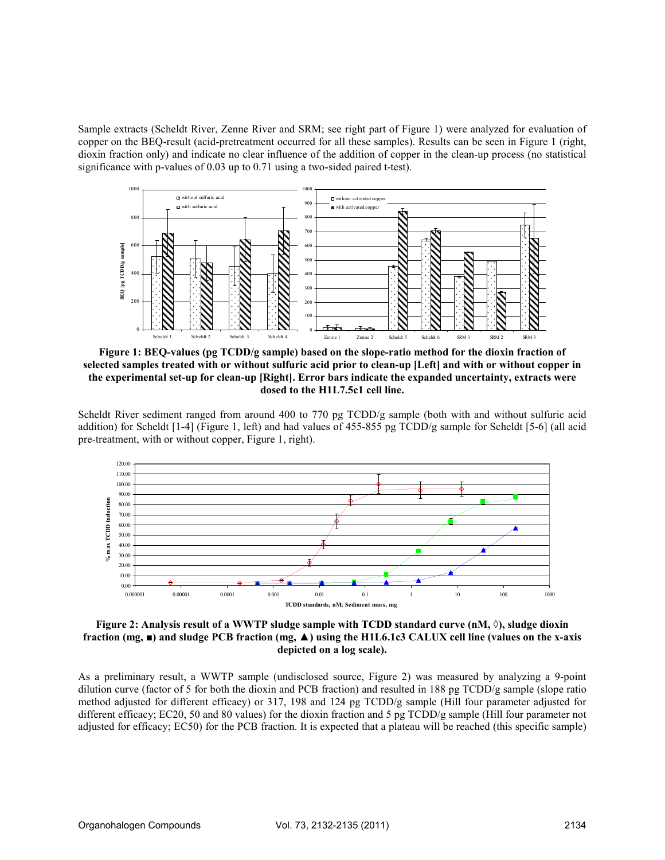Sample extracts (Scheldt River, Zenne River and SRM; see right part of Figure 1) were analyzed for evaluation of copper on the BEQ-result (acid-pretreatment occurred for all these samples). Results can be seen in Figure 1 (right, dioxin fraction only) and indicate no clear influence of the addition of copper in the clean-up process (no statistical significance with p-values of 0.03 up to 0.71 using a two-sided paired t-test).



Figure 1: BEQ-values (pg TCDD/g sample) based on the slope-ratio method for the dioxin fraction of selected samples treated with or without sulfuric acid prior to clean-up [Left] and with or without copper in the experimental set-up for clean-up [Right]. Error bars indicate the expanded uncertainty, extracts were dosed to the H1L7.5c1 cell line.

Scheldt River sediment ranged from around 400 to 770 pg TCDD/g sample (both with and without sulfuric acid addition) for Scheldt [1-4] (Figure 1, left) and had values of 455-855 pg TCDD/g sample for Scheldt [5-6] (all acid pre-treatment, with or without copper, Figure 1, right).



## Figure 2: Analysis result of a WWTP sludge sample with TCDD standard curve (nM,  $\Diamond$ ), sludge dioxin fraction (mg,  $\blacksquare$ ) and sludge PCB fraction (mg,  $\blacktriangle$ ) using the H1L6.1c3 CALUX cell line (values on the x-axis depicted on a log scale).

As a preliminary result, a WWTP sample (undisclosed source, Figure 2) was measured by analyzing a 9-point dilution curve (factor of 5 for both the dioxin and PCB fraction) and resulted in 188 pg TCDD/g sample (slope ratio method adjusted for different efficacy) or 317, 198 and 124 pg TCDD/g sample (Hill four parameter adjusted for different efficacy; EC20, 50 and 80 values) for the dioxin fraction and 5 pg TCDD/g sample (Hill four parameter not adjusted for efficacy; EC50) for the PCB fraction. It is expected that a plateau will be reached (this specific sample)